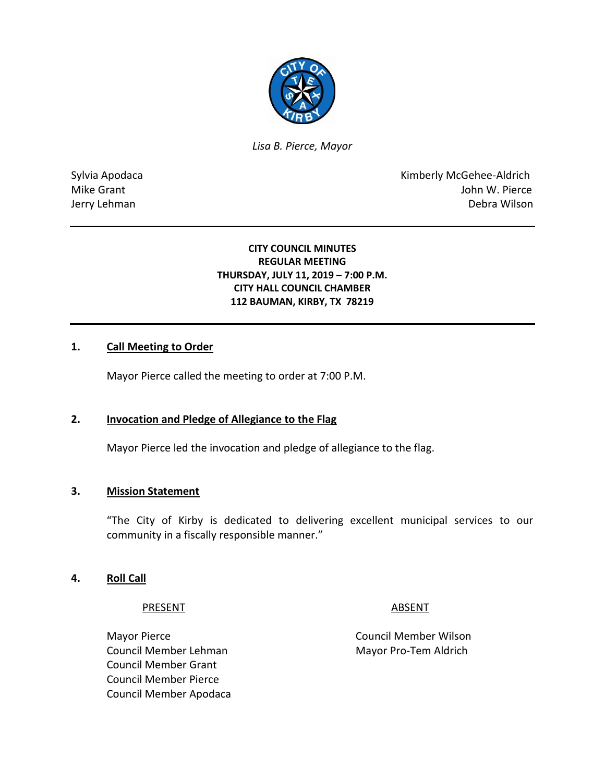

*Lisa B. Pierce, Mayor* 

Sylvia Apodaca **Kimberly McGehee-Aldrich** Mike Grant **Mike Grant** John W. Pierce Jerry Lehman Debra Wilson

#### **CITY COUNCIL MINUTES REGULAR MEETING THURSDAY, JULY 11, 2019 – 7:00 P.M. CITY HALL COUNCIL CHAMBER 112 BAUMAN, KIRBY, TX 78219**

#### **1. Call Meeting to Order**

Mayor Pierce called the meeting to order at 7:00 P.M.

#### **2. Invocation and Pledge of Allegiance to the Flag**

Mayor Pierce led the invocation and pledge of allegiance to the flag.

#### **3. Mission Statement**

"The City of Kirby is dedicated to delivering excellent municipal services to our community in a fiscally responsible manner."

#### **4. Roll Call**

#### PRESENT ABSENT

Council Member Lehman Mayor Pro-Tem Aldrich Council Member Grant Council Member Pierce Council Member Apodaca

Mayor Pierce **Council Member Wilson**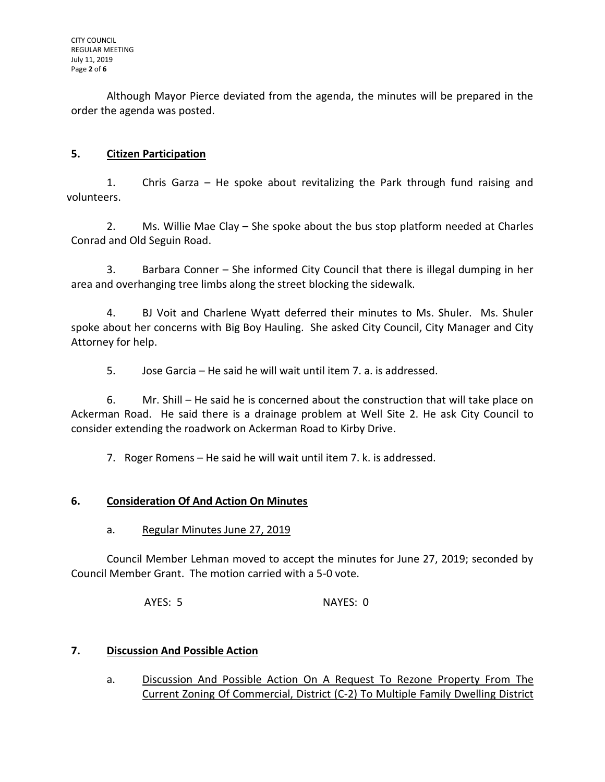Although Mayor Pierce deviated from the agenda, the minutes will be prepared in the order the agenda was posted.

# **5. Citizen Participation**

1. Chris Garza – He spoke about revitalizing the Park through fund raising and volunteers.

2. Ms. Willie Mae Clay – She spoke about the bus stop platform needed at Charles Conrad and Old Seguin Road.

3. Barbara Conner – She informed City Council that there is illegal dumping in her area and overhanging tree limbs along the street blocking the sidewalk.

4. BJ Voit and Charlene Wyatt deferred their minutes to Ms. Shuler. Ms. Shuler spoke about her concerns with Big Boy Hauling. She asked City Council, City Manager and City Attorney for help.

5. Jose Garcia – He said he will wait until item 7. a. is addressed.

6. Mr. Shill – He said he is concerned about the construction that will take place on Ackerman Road. He said there is a drainage problem at Well Site 2. He ask City Council to consider extending the roadwork on Ackerman Road to Kirby Drive.

7. Roger Romens – He said he will wait until item 7. k. is addressed.

# **6. Consideration Of And Action On Minutes**

a. Regular Minutes June 27, 2019

Council Member Lehman moved to accept the minutes for June 27, 2019; seconded by Council Member Grant. The motion carried with a 5-0 vote.

AYES: 5 NAYES: 0

# **7. Discussion And Possible Action**

a. Discussion And Possible Action On A Request To Rezone Property From The Current Zoning Of Commercial, District (C-2) To Multiple Family Dwelling District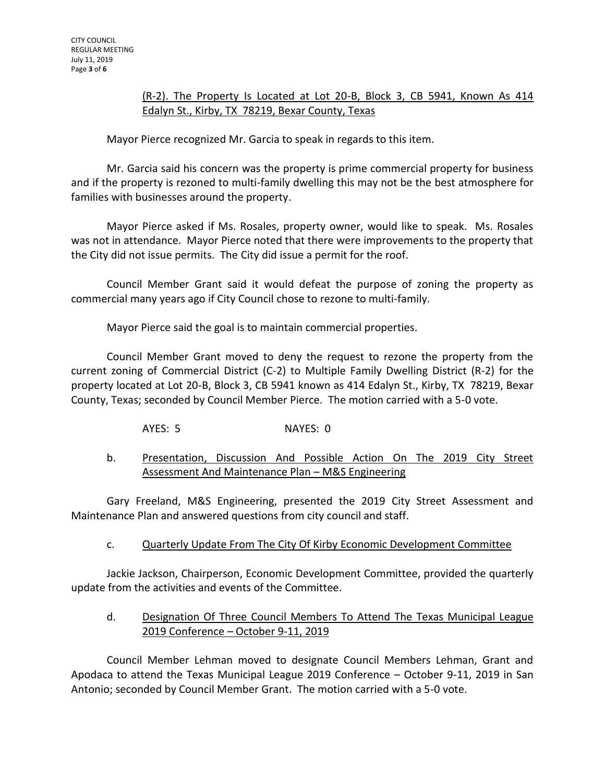# (R-2). The Property Is Located at Lot 20-B, Block 3, CB 5941, Known As 414 Edalyn St., Kirby, TX 78219, Bexar County, Texas

Mayor Pierce recognized Mr. Garcia to speak in regards to this item.

Mr. Garcia said his concern was the property is prime commercial property for business and if the property is rezoned to multi-family dwelling this may not be the best atmosphere for families with businesses around the property.

Mayor Pierce asked if Ms. Rosales, property owner, would like to speak. Ms. Rosales was not in attendance. Mayor Pierce noted that there were improvements to the property that the City did not issue permits. The City did issue a permit for the roof.

Council Member Grant said it would defeat the purpose of zoning the property as commercial many years ago if City Council chose to rezone to multi-family.

Mayor Pierce said the goal is to maintain commercial properties.

Council Member Grant moved to deny the request to rezone the property from the current zoning of Commercial District (C-2) to Multiple Family Dwelling District (R-2) for the property located at Lot 20-B, Block 3, CB 5941 known as 414 Edalyn St., Kirby, TX 78219, Bexar County, Texas; seconded by Council Member Pierce. The motion carried with a 5-0 vote.

AYES: 5 NAYES: 0

# b. Presentation, Discussion And Possible Action On The 2019 City Street Assessment And Maintenance Plan – M&S Engineering

Gary Freeland, M&S Engineering, presented the 2019 City Street Assessment and Maintenance Plan and answered questions from city council and staff.

# c. Quarterly Update From The City Of Kirby Economic Development Committee

Jackie Jackson, Chairperson, Economic Development Committee, provided the quarterly update from the activities and events of the Committee.

# d. Designation Of Three Council Members To Attend The Texas Municipal League 2019 Conference – October 9-11, 2019

Council Member Lehman moved to designate Council Members Lehman, Grant and Apodaca to attend the Texas Municipal League 2019 Conference – October 9-11, 2019 in San Antonio; seconded by Council Member Grant. The motion carried with a 5-0 vote.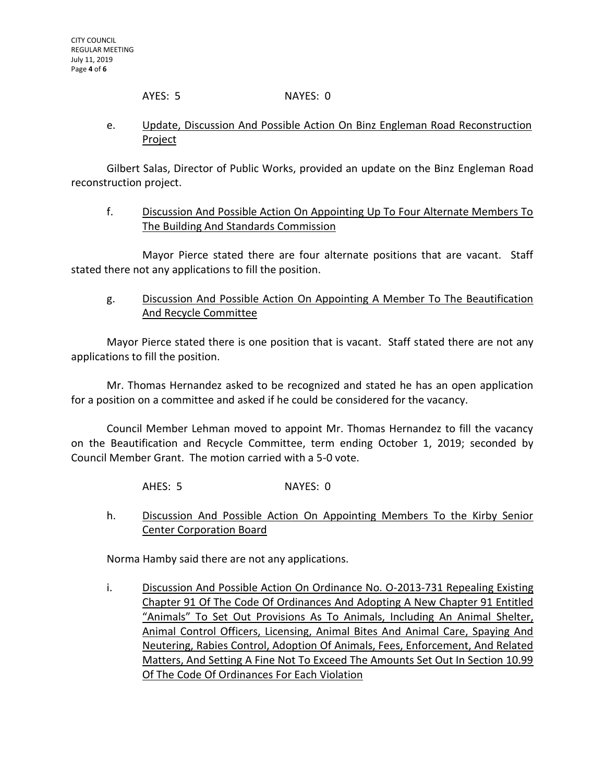AYES: 5 NAYES: 0

# e. Update, Discussion And Possible Action On Binz Engleman Road Reconstruction Project

Gilbert Salas, Director of Public Works, provided an update on the Binz Engleman Road reconstruction project.

f. Discussion And Possible Action On Appointing Up To Four Alternate Members To The Building And Standards Commission

Mayor Pierce stated there are four alternate positions that are vacant. Staff stated there not any applications to fill the position.

g. Discussion And Possible Action On Appointing A Member To The Beautification And Recycle Committee

Mayor Pierce stated there is one position that is vacant. Staff stated there are not any applications to fill the position.

Mr. Thomas Hernandez asked to be recognized and stated he has an open application for a position on a committee and asked if he could be considered for the vacancy.

Council Member Lehman moved to appoint Mr. Thomas Hernandez to fill the vacancy on the Beautification and Recycle Committee, term ending October 1, 2019; seconded by Council Member Grant. The motion carried with a 5-0 vote.

AHES: 5 NAYES: 0

h. Discussion And Possible Action On Appointing Members To the Kirby Senior Center Corporation Board

Norma Hamby said there are not any applications.

i. Discussion And Possible Action On Ordinance No. O-2013-731 Repealing Existing Chapter 91 Of The Code Of Ordinances And Adopting A New Chapter 91 Entitled "Animals" To Set Out Provisions As To Animals, Including An Animal Shelter, Animal Control Officers, Licensing, Animal Bites And Animal Care, Spaying And Neutering, Rabies Control, Adoption Of Animals, Fees, Enforcement, And Related Matters, And Setting A Fine Not To Exceed The Amounts Set Out In Section 10.99 Of The Code Of Ordinances For Each Violation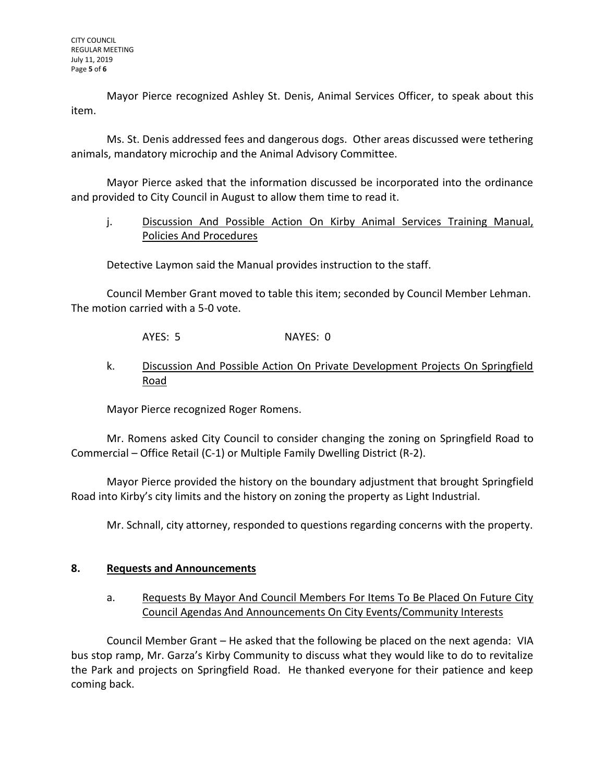Mayor Pierce recognized Ashley St. Denis, Animal Services Officer, to speak about this item.

Ms. St. Denis addressed fees and dangerous dogs. Other areas discussed were tethering animals, mandatory microchip and the Animal Advisory Committee.

Mayor Pierce asked that the information discussed be incorporated into the ordinance and provided to City Council in August to allow them time to read it.

# j. Discussion And Possible Action On Kirby Animal Services Training Manual, Policies And Procedures

Detective Laymon said the Manual provides instruction to the staff.

Council Member Grant moved to table this item; seconded by Council Member Lehman. The motion carried with a 5-0 vote.

AYES: 5 NAYES: 0

# k. Discussion And Possible Action On Private Development Projects On Springfield Road

Mayor Pierce recognized Roger Romens.

Mr. Romens asked City Council to consider changing the zoning on Springfield Road to Commercial – Office Retail (C-1) or Multiple Family Dwelling District (R-2).

Mayor Pierce provided the history on the boundary adjustment that brought Springfield Road into Kirby's city limits and the history on zoning the property as Light Industrial.

Mr. Schnall, city attorney, responded to questions regarding concerns with the property.

# **8. Requests and Announcements**

# a. Requests By Mayor And Council Members For Items To Be Placed On Future City Council Agendas And Announcements On City Events/Community Interests

Council Member Grant – He asked that the following be placed on the next agenda: VIA bus stop ramp, Mr. Garza's Kirby Community to discuss what they would like to do to revitalize the Park and projects on Springfield Road. He thanked everyone for their patience and keep coming back.